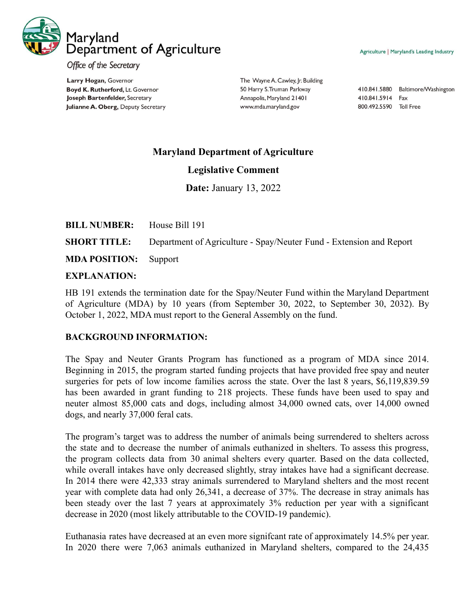

Agriculture | Maryland's Leading Industry

Office of the Secretary

Larry Hogan, Governor Boyd K. Rutherford, Lt. Governor Joseph Bartenfelder, Secretary Julianne A. Oberg, Deputy Secretary The Wayne A. Cawley, Jr. Building 50 Harry S. Truman Parkway Annapolis, Maryland 21401 www.mda.maryland.gov

410.841.5880 Baltimore/Washington 410.841.5914 Fax 800.492.5590 Toll Free

## **Maryland Department of Agriculture**

## **Legislative Comment**

**Date:** January 13, 2022

| <b>BILL NUMBER:</b> House Bill 191 |                                                                     |
|------------------------------------|---------------------------------------------------------------------|
| <b>SHORT TITLE:</b>                | Department of Agriculture - Spay/Neuter Fund - Extension and Report |
| <b>MDA POSITION:</b> Support       |                                                                     |

## **EXPLANATION:**

HB 191 extends the termination date for the Spay/Neuter Fund within the Maryland Department of Agriculture (MDA) by 10 years (from September 30, 2022, to September 30, 2032). By October 1, 2022, MDA must report to the General Assembly on the fund.

## **BACKGROUND INFORMATION:**

The Spay and Neuter Grants Program has functioned as a program of MDA since 2014. Beginning in 2015, the program started funding projects that have provided free spay and neuter surgeries for pets of low income families across the state. Over the last 8 years, \$6,119,839.59 has been awarded in grant funding to 218 projects. These funds have been used to spay and neuter almost 85,000 cats and dogs, including almost 34,000 owned cats, over 14,000 owned dogs, and nearly 37,000 feral cats.

The program's target was to address the number of animals being surrendered to shelters across the state and to decrease the number of animals euthanized in shelters. To assess this progress, the program collects data from 30 animal shelters every quarter. Based on the data collected, while overall intakes have only decreased slightly, stray intakes have had a significant decrease. In 2014 there were 42,333 stray animals surrendered to Maryland shelters and the most recent year with complete data had only 26,341, a decrease of 37%. The decrease in stray animals has been steady over the last 7 years at approximately 3% reduction per year with a significant decrease in 2020 (most likely attributable to the COVID-19 pandemic).

Euthanasia rates have decreased at an even more signifcant rate of approximately 14.5% per year. In 2020 there were 7,063 animals euthanized in Maryland shelters, compared to the 24,435